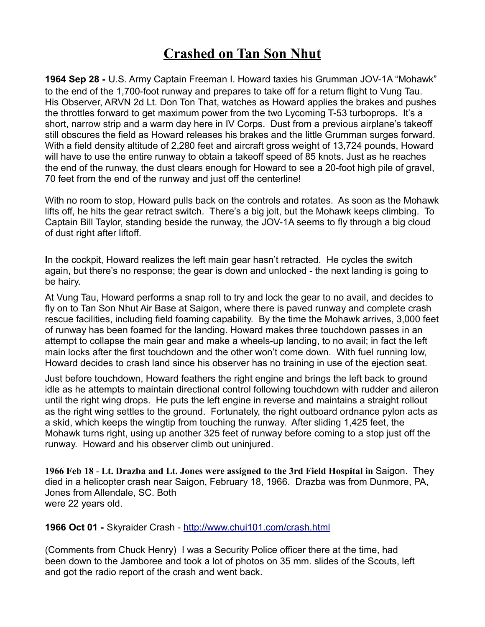## **Crashed on Tan Son Nhut**

**1964 Sep 28 -** U.S. Army Captain Freeman I. Howard taxies his Grumman JOV-1A "Mohawk" to the end of the 1,700-foot runway and prepares to take off for a return flight to Vung Tau. His Observer, ARVN 2d Lt. Don Ton That, watches as Howard applies the brakes and pushes the throttles forward to get maximum power from the two Lycoming T-53 turboprops. It's a short, narrow strip and a warm day here in IV Corps. Dust from a previous airplane's takeoff still obscures the field as Howard releases his brakes and the little Grumman surges forward. With a field density altitude of 2,280 feet and aircraft gross weight of 13,724 pounds, Howard will have to use the entire runway to obtain a takeoff speed of 85 knots. Just as he reaches the end of the runway, the dust clears enough for Howard to see a 20-foot high pile of gravel, 70 feet from the end of the runway and just off the centerline!

With no room to stop, Howard pulls back on the controls and rotates. As soon as the Mohawk lifts off, he hits the gear retract switch. There's a big jolt, but the Mohawk keeps climbing. To Captain Bill Taylor, standing beside the runway, the JOV-1A seems to fly through a big cloud of dust right after liftoff.

**I**n the cockpit, Howard realizes the left main gear hasn't retracted. He cycles the switch again, but there's no response; the gear is down and unlocked - the next landing is going to be hairy.

At Vung Tau, Howard performs a snap roll to try and lock the gear to no avail, and decides to fly on to Tan Son Nhut Air Base at Saigon, where there is paved runway and complete crash rescue facilities, including field foaming capability. By the time the Mohawk arrives, 3,000 feet of runway has been foamed for the landing. Howard makes three touchdown passes in an attempt to collapse the main gear and make a wheels-up landing, to no avail; in fact the left main locks after the first touchdown and the other won't come down. With fuel running low, Howard decides to crash land since his observer has no training in use of the ejection seat.

Just before touchdown, Howard feathers the right engine and brings the left back to ground idle as he attempts to maintain directional control following touchdown with rudder and aileron until the right wing drops. He puts the left engine in reverse and maintains a straight rollout as the right wing settles to the ground. Fortunately, the right outboard ordnance pylon acts as a skid, which keeps the wingtip from touching the runway. After sliding 1,425 feet, the Mohawk turns right, using up another 325 feet of runway before coming to a stop just off the runway. Howard and his observer climb out uninjured.

**1966 Feb 18** - **Lt. Drazba and Lt. Jones were assigned to the 3rd Field Hospital in** Saigon. They died in a helicopter crash near Saigon, February 18, 1966. Drazba was from Dunmore, PA, Jones from Allendale, SC. Both were 22 years old.

**1966 Oct 01 -** Skyraider Crash -<http://www.chui101.com/crash.html>

(Comments from Chuck Henry) I was a Security Police officer there at the time, had been down to the Jamboree and took a lot of photos on 35 mm. slides of the Scouts, left and got the radio report of the crash and went back.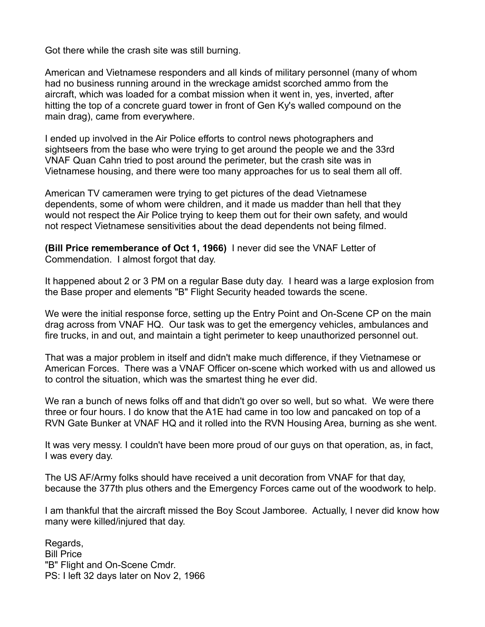Got there while the crash site was still burning.

American and Vietnamese responders and all kinds of military personnel (many of whom had no business running around in the wreckage amidst scorched ammo from the aircraft, which was loaded for a combat mission when it went in, yes, inverted, after hitting the top of a concrete guard tower in front of Gen Ky's walled compound on the main drag), came from everywhere.

I ended up involved in the Air Police efforts to control news photographers and sightseers from the base who were trying to get around the people we and the 33rd VNAF Quan Cahn tried to post around the perimeter, but the crash site was in Vietnamese housing, and there were too many approaches for us to seal them all off.

American TV cameramen were trying to get pictures of the dead Vietnamese dependents, some of whom were children, and it made us madder than hell that they would not respect the Air Police trying to keep them out for their own safety, and would not respect Vietnamese sensitivities about the dead dependents not being filmed.

**(Bill Price rememberance of Oct 1, 1966)** I never did see the VNAF Letter of Commendation. I almost forgot that day.

It happened about 2 or 3 PM on a regular Base duty day. I heard was a large explosion from the Base proper and elements "B" Flight Security headed towards the scene.

We were the initial response force, setting up the Entry Point and On-Scene CP on the main drag across from VNAF HQ. Our task was to get the emergency vehicles, ambulances and fire trucks, in and out, and maintain a tight perimeter to keep unauthorized personnel out.

That was a major problem in itself and didn't make much difference, if they Vietnamese or American Forces. There was a VNAF Officer on-scene which worked with us and allowed us to control the situation, which was the smartest thing he ever did.

We ran a bunch of news folks off and that didn't go over so well, but so what. We were there three or four hours. I do know that the A1E had came in too low and pancaked on top of a RVN Gate Bunker at VNAF HQ and it rolled into the RVN Housing Area, burning as she went.

It was very messy. I couldn't have been more proud of our guys on that operation, as, in fact, I was every day.

The US AF/Army folks should have received a unit decoration from VNAF for that day, because the 377th plus others and the Emergency Forces came out of the woodwork to help.

I am thankful that the aircraft missed the Boy Scout Jamboree. Actually, I never did know how many were killed/injured that day.

Regards, Bill Price "B" Flight and On-Scene Cmdr. PS: I left 32 days later on Nov 2, 1966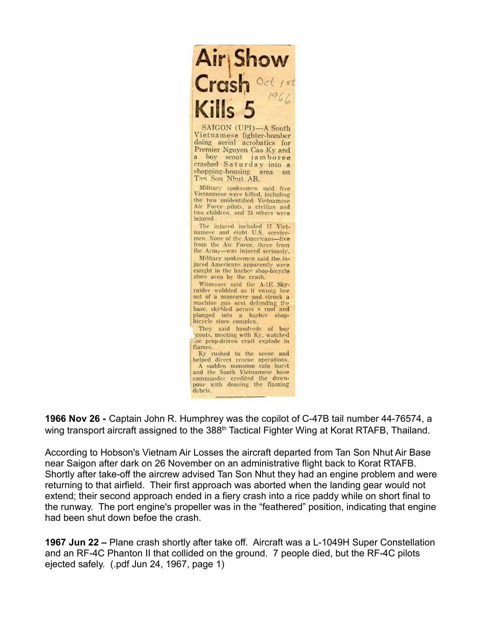

**1966 Nov 26 -** Captain John R. Humphrey was the copilot of C-47B tail number 44-76574, a wing transport aircraft assigned to the 388<sup>th</sup> Tactical Fighter Wing at Korat RTAFB, Thailand.

According to Hobson's Vietnam Air Losses the aircraft departed from Tan Son Nhut Air Base near Saigon after dark on 26 November on an administrative flight back to Korat RTAFB. Shortly after take-off the aircrew advised Tan Son Nhut they had an engine problem and were returning to that airfield. Their first approach was aborted when the landing gear would not extend; their second approach ended in a fiery crash into a rice paddy while on short final to the runway. The port engine's propeller was in the "feathered" position, indicating that engine had been shut down befoe the crash.

**1967 Jun 22 –** Plane crash shortly after take off. Aircraft was a L-1049H Super Constellation and an RF-4C Phanton II that collided on the ground. 7 people died, but the RF-4C pilots ejected safely. (.pdf Jun 24, 1967, page 1)